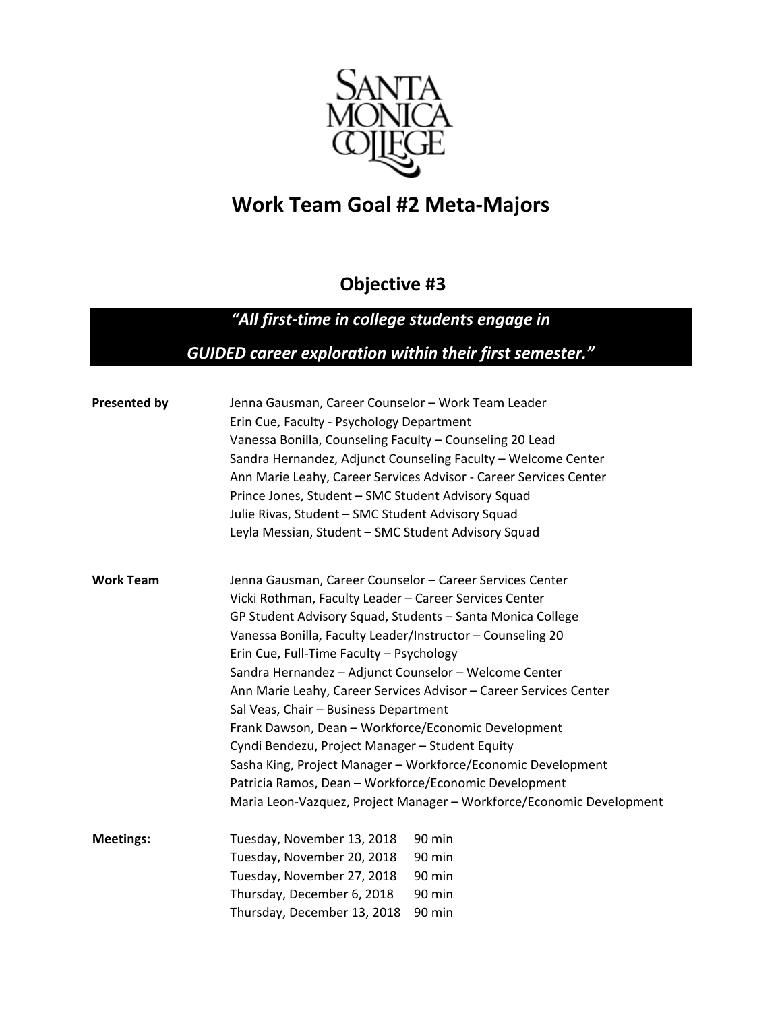

# **Work Team Goal #2 Meta-Majors**

## **Objective #3**

## *"All first-time in college students engage in*

### *GUIDED career exploration within their first semester."*

| <b>Presented by</b>                                                                                        | Jenna Gausman, Career Counselor - Work Team Leader<br>Erin Cue, Faculty - Psychology Department<br>Vanessa Bonilla, Counseling Faculty - Counseling 20 Lead<br>Sandra Hernandez, Adjunct Counseling Faculty - Welcome Center<br>Ann Marie Leahy, Career Services Advisor - Career Services Center<br>Prince Jones, Student - SMC Student Advisory Squad<br>Julie Rivas, Student - SMC Student Advisory Squad<br>Leyla Messian, Student - SMC Student Advisory Squad |                                                                      |                  |                                                            |  |
|------------------------------------------------------------------------------------------------------------|---------------------------------------------------------------------------------------------------------------------------------------------------------------------------------------------------------------------------------------------------------------------------------------------------------------------------------------------------------------------------------------------------------------------------------------------------------------------|----------------------------------------------------------------------|------------------|------------------------------------------------------------|--|
|                                                                                                            |                                                                                                                                                                                                                                                                                                                                                                                                                                                                     |                                                                      |                  |                                                            |  |
|                                                                                                            |                                                                                                                                                                                                                                                                                                                                                                                                                                                                     |                                                                      | <b>Work Team</b> | Jenna Gausman, Career Counselor - Career Services Center   |  |
|                                                                                                            |                                                                                                                                                                                                                                                                                                                                                                                                                                                                     |                                                                      |                  | Vicki Rothman, Faculty Leader - Career Services Center     |  |
|                                                                                                            |                                                                                                                                                                                                                                                                                                                                                                                                                                                                     |                                                                      |                  | GP Student Advisory Squad, Students - Santa Monica College |  |
|                                                                                                            |                                                                                                                                                                                                                                                                                                                                                                                                                                                                     |                                                                      |                  | Vanessa Bonilla, Faculty Leader/Instructor - Counseling 20 |  |
|                                                                                                            |                                                                                                                                                                                                                                                                                                                                                                                                                                                                     |                                                                      |                  | Erin Cue, Full-Time Faculty - Psychology                   |  |
|                                                                                                            |                                                                                                                                                                                                                                                                                                                                                                                                                                                                     |                                                                      |                  | Sandra Hernandez - Adjunct Counselor - Welcome Center      |  |
| Ann Marie Leahy, Career Services Advisor - Career Services Center<br>Sal Veas, Chair - Business Department |                                                                                                                                                                                                                                                                                                                                                                                                                                                                     |                                                                      |                  |                                                            |  |
|                                                                                                            |                                                                                                                                                                                                                                                                                                                                                                                                                                                                     | Frank Dawson, Dean - Workforce/Economic Development                  |                  |                                                            |  |
| Cyndi Bendezu, Project Manager - Student Equity                                                            |                                                                                                                                                                                                                                                                                                                                                                                                                                                                     |                                                                      |                  |                                                            |  |
| Sasha King, Project Manager - Workforce/Economic Development                                               |                                                                                                                                                                                                                                                                                                                                                                                                                                                                     |                                                                      |                  |                                                            |  |
| Patricia Ramos, Dean - Workforce/Economic Development                                                      |                                                                                                                                                                                                                                                                                                                                                                                                                                                                     |                                                                      |                  |                                                            |  |
|                                                                                                            |                                                                                                                                                                                                                                                                                                                                                                                                                                                                     | Maria Leon-Vazquez, Project Manager - Workforce/Economic Development |                  |                                                            |  |
| <b>Meetings:</b>                                                                                           | Tuesday, November 13, 2018                                                                                                                                                                                                                                                                                                                                                                                                                                          | 90 min                                                               |                  |                                                            |  |
|                                                                                                            | Tuesday, November 20, 2018                                                                                                                                                                                                                                                                                                                                                                                                                                          | 90 min                                                               |                  |                                                            |  |
|                                                                                                            | Tuesday, November 27, 2018                                                                                                                                                                                                                                                                                                                                                                                                                                          | 90 min                                                               |                  |                                                            |  |
|                                                                                                            | Thursday, December 6, 2018                                                                                                                                                                                                                                                                                                                                                                                                                                          | 90 min                                                               |                  |                                                            |  |
|                                                                                                            | Thursday, December 13, 2018                                                                                                                                                                                                                                                                                                                                                                                                                                         | 90 min                                                               |                  |                                                            |  |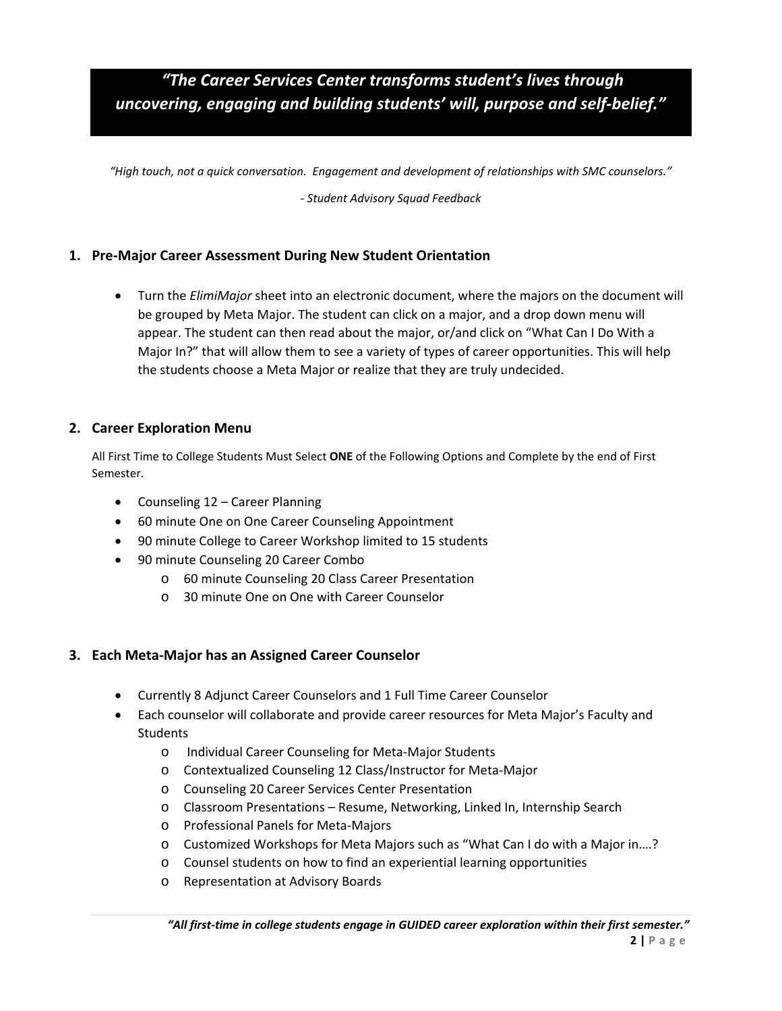### *"The Career Services Center transforms student's lives through uncovering, engaging and building students' will, purpose and self-belief."*

*"High touch, not a quick conversation. Engagement and development of relationships with SMC counselors."*

*- Student Advisory Squad Feedback*

#### **1. Pre-Major Career Assessment During New Student Orientation**

• Turn the *ElimiMajor* sheet into an electronic document, where the majors on the document will be grouped by Meta Major. The student can click on a major, and a drop down menu will appear. The student can then read about the major, or/and click on "What Can I Do With a Major In?" that will allow them to see a variety of types of career opportunities. This will help the students choose a Meta Major or realize that they are truly undecided.

#### **2. Career Exploration Menu**

All First Time to College Students Must Select **ONE** of the Following Options and Complete by the end of First Semester.

- Counseling 12 Career Planning
- 60 minute One on One Career Counseling Appointment
- 90 minute College to Career Workshop limited to 15 students
- 90 minute Counseling 20 Career Combo
	- o 60 minute Counseling 20 Class Career Presentation
	- o 30 minute One on One with Career Counselor

#### **3. Each Meta-Major has an Assigned Career Counselor**

- Currently 8 Adjunct Career Counselors and 1 Full Time Career Counselor
- Each counselor will collaborate and provide career resources for Meta Major's Faculty and **Students** 
	- o Individual Career Counseling for Meta-Major Students
	- o Contextualized Counseling 12 Class/Instructor for Meta-Major
	- o Counseling 20 Career Services Center Presentation
	- o Classroom Presentations Resume, Networking, Linked In, Internship Search
	- o Professional Panels for Meta-Majors
	- o Customized Workshops for Meta Majors such as "What Can I do with a Major in….?
	- o Counsel students on how to find an experiential learning opportunities
	- o Representation at Advisory Boards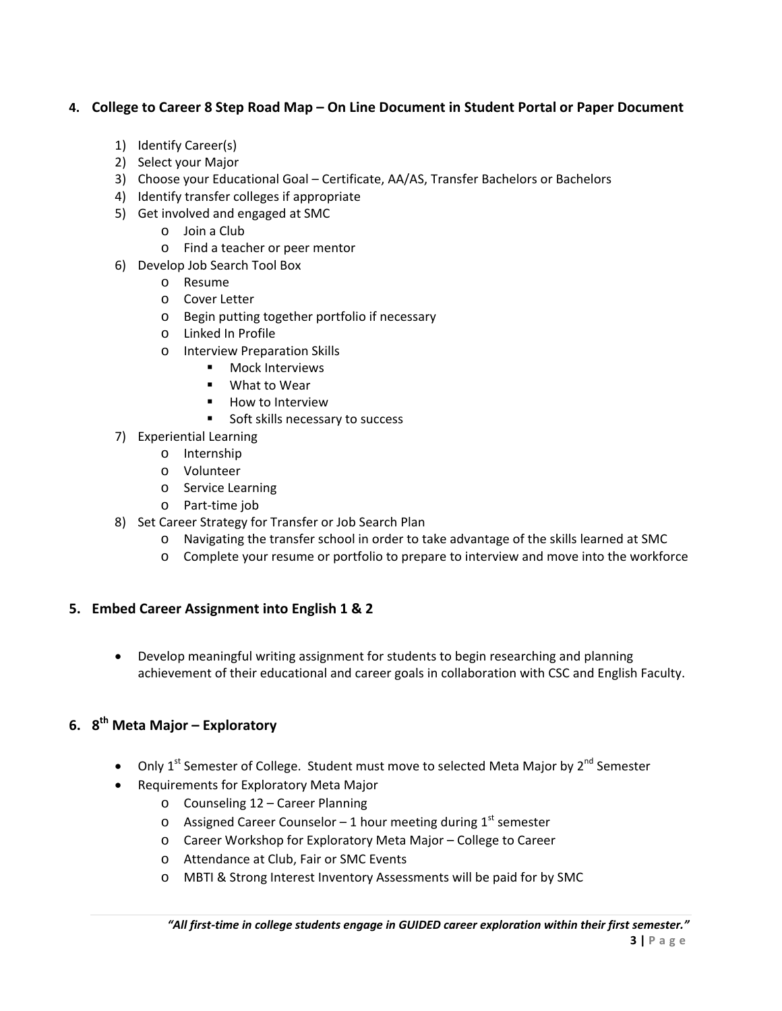#### **4. College to Career 8 Step Road Map – On Line Document in Student Portal or Paper Document**

- 1) Identify Career(s)
- 2) Select your Major
- 3) Choose your Educational Goal Certificate, AA/AS, Transfer Bachelors or Bachelors
- 4) Identify transfer colleges if appropriate
- 5) Get involved and engaged at SMC
	- o Join a Club
	- o Find a teacher or peer mentor
- 6) Develop Job Search Tool Box
	- o Resume
	- o Cover Letter
	- o Begin putting together portfolio if necessary
	- o Linked In Profile
	- o Interview Preparation Skills
		- **Nock Interviews**
		- What to Wear
		- **-** How to Interview
		- Soft skills necessary to success
- 7) Experiential Learning
	- o Internship
	- o Volunteer
	- o Service Learning
	- o Part-time job
- 8) Set Career Strategy for Transfer or Job Search Plan
	- o Navigating the transfer school in order to take advantage of the skills learned at SMC
	- o Complete your resume or portfolio to prepare to interview and move into the workforce

#### **5. Embed Career Assignment into English 1 & 2**

• Develop meaningful writing assignment for students to begin researching and planning achievement of their educational and career goals in collaboration with CSC and English Faculty.

#### **6. 8th Meta Major – Exploratory**

- Only 1<sup>st</sup> Semester of College. Student must move to selected Meta Major by 2<sup>nd</sup> Semester
- Requirements for Exploratory Meta Major
	- o Counseling 12 Career Planning
	- $\circ$  Assigned Career Counselor 1 hour meeting during 1<sup>st</sup> semester
	- o Career Workshop for Exploratory Meta Major College to Career
	- o Attendance at Club, Fair or SMC Events
	- o MBTI & Strong Interest Inventory Assessments will be paid for by SMC